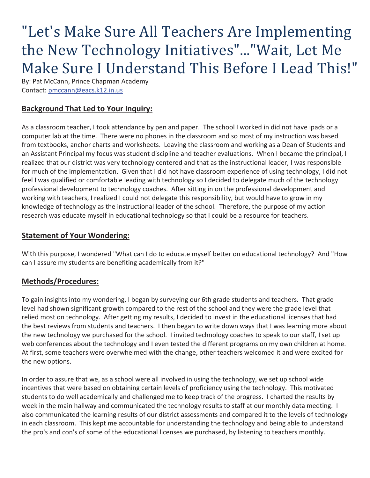# "Let's Make Sure All Teachers Are Implementing the New Technology Initiatives"..."Wait, Let Me Make Sure I Understand This Before I Lead This!"

By: Pat McCann, Prince Chapman Academy Contact: pmccann@eacs.k12.in.us

## **Background That Led to Your Inquiry:**

As a classroom teacher, I took attendance by pen and paper. The school I worked in did not have ipads or a computer lab at the time. There were no phones in the classroom and so most of my instruction was based from textbooks, anchor charts and worksheets. Leaving the classroom and working as a Dean of Students and an Assistant Principal my focus was student discipline and teacher evaluations. When I became the principal, I realized that our district was very technology centered and that as the instructional leader, I was responsible for much of the implementation. Given that I did not have classroom experience of using technology, I did not feel I was qualified or comfortable leading with technology so I decided to delegate much of the technology professional development to technology coaches. After sitting in on the professional development and working with teachers, I realized I could not delegate this responsibility, but would have to grow in my knowledge of technology as the instructional leader of the school. Therefore, the purpose of my action research was educate myself in educational technology so that I could be a resource for teachers.

#### **Statement of Your Wondering:**

With this purpose, I wondered "What can I do to educate myself better on educational technology? And "How can I assure my students are benefiting academically from it?"

### **Methods/Procedures:**

To gain insights into my wondering, I began by surveying our 6th grade students and teachers. That grade level had shown significant growth compared to the rest of the school and they were the grade level that relied most on technology. After getting my results, I decided to invest in the educational licenses that had the best reviews from students and teachers. I then began to write down ways that I was learning more about the new technology we purchased for the school. I invited technology coaches to speak to our staff, I set up web conferences about the technology and I even tested the different programs on my own children at home. At first, some teachers were overwhelmed with the change, other teachers welcomed it and were excited for the new options.

In order to assure that we, as a school were all involved in using the technology, we set up school wide incentives that were based on obtaining certain levels of proficiency using the technology. This motivated students to do well academically and challenged me to keep track of the progress. I charted the results by week in the main hallway and communicated the technology results to staff at our monthly data meeting. I also communicated the learning results of our district assessments and compared it to the levels of technology in each classroom. This kept me accountable for understanding the technology and being able to understand the pro's and con's of some of the educational licenses we purchased, by listening to teachers monthly.